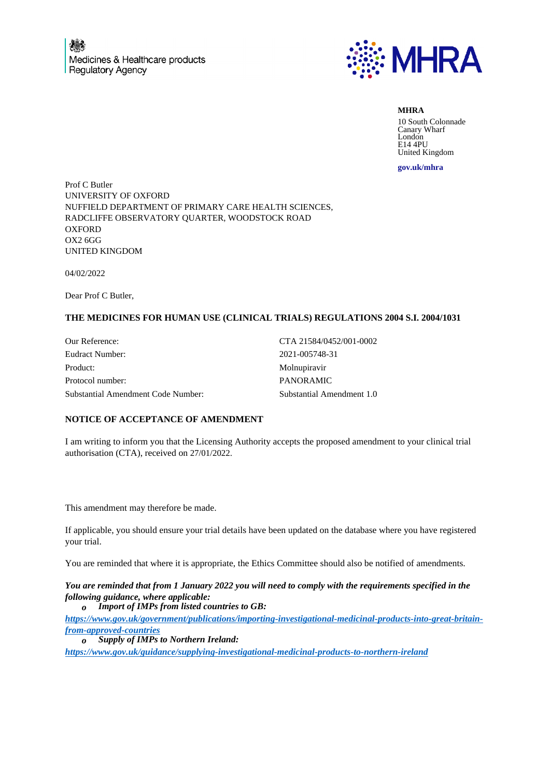

**MHRA** 10 South Colonnade Canary Wharf London E14 4PU United Kingdom

**gov.uk/mhra**

Prof C Butler UNIVERSITY OF OXFORD NUFFIELD DEPARTMENT OF PRIMARY CARE HEALTH SCIENCES, RADCLIFFE OBSERVATORY QUARTER, WOODSTOCK ROAD **OXFORD** OX2 6GG UNITED KINGDOM

04/02/2022

Dear Prof C Butler,

## **THE MEDICINES FOR HUMAN USE (CLINICAL TRIALS) REGULATIONS 2004 S.I. 2004/1031**

Our Reference: CTA 21584/0452/001-0002 Eudract Number: 2021-005748-31 Product: Molnupiravir Protocol number: PANORAMIC Substantial Amendment Code Number: Substantial Amendment 1.0

## **NOTICE OF ACCEPTANCE OF AMENDMENT**

I am writing to inform you that the Licensing Authority accepts the proposed amendment to your clinical trial authorisation (CTA), received on 27/01/2022.

This amendment may therefore be made.

If applicable, you should ensure your trial details have been updated on the database where you have registered your trial.

You are reminded that where it is appropriate, the Ethics Committee should also be notified of amendments.

*You are reminded that from 1 January 2022 you will need to comply with the requirements specified in the following guidance, where applicable:*

*o Import of IMPs from listed countries to GB:*

*https://www.gov.uk/government/publications/importing-investigational-medicinal-products-into-great-britainfrom-approved-countries*

*o Supply of IMPs to Northern Ireland:*

*https://www.gov.uk/guidance/supplying-investigational-medicinal-products-to-northern-ireland*